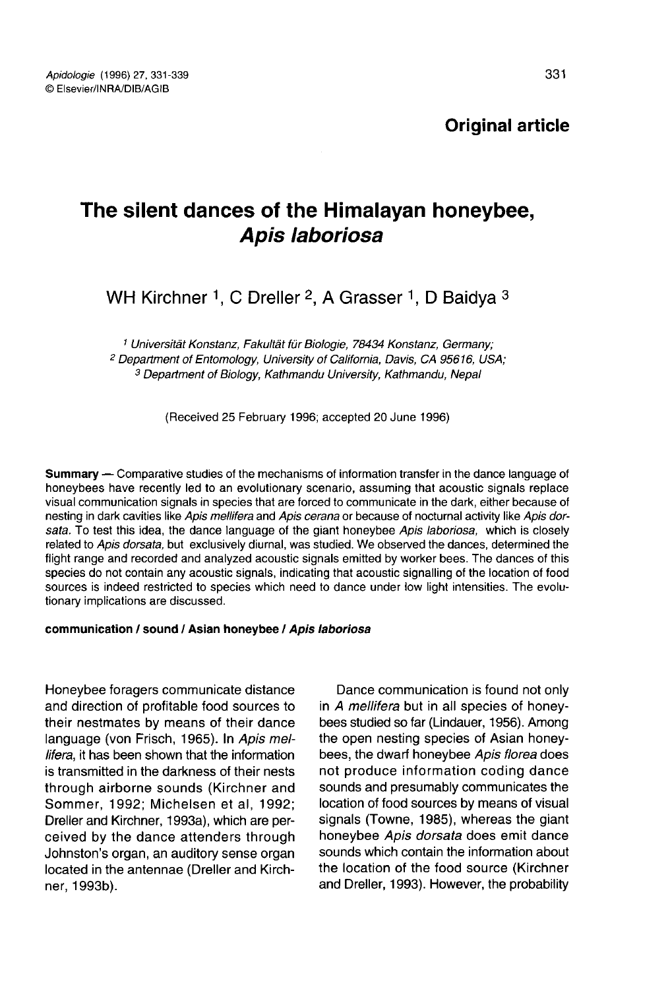Original article

# The silent dances of the Himalayan honeybee, Apis laboriosa

WH Kirchner <sup>1</sup>, C Dreller <sup>2</sup>, A Grasser <sup>1</sup>, D Baidya  $3$ 

<sup>1</sup> Universität Konstanz, Fakultät für Biologie, 78434 Konstanz, Germany; <sup>2</sup> Department of Entomology, University of California, Davis, CA 95616, USA; <sup>3</sup> Department of Biology, Kathmandu University, Kathmandu, Nepal

(Received 25 February 1996; accepted 20 June 1996)

Summary — Comparative studies of the mechanisms of information transfer in the dance language of honeybees have recently led to an evolutionary scenario, assuming that acoustic signals replace visual communication signals in species that are forced to communicate in the dark, either because of nesting in dark cavities like Apis mellifera and Apis cerana or because of nocturnal activity like Apis dorsata. To test this idea, the dance language of the giant honeybee Apis laboriosa, which is closely related to Apis dorsata, but exclusively diurnal, was studied. We observed the dances, determined the flight range and recorded and analyzed acoustic signals emitted by worker bees. The dances of this species do not contain any acoustic signals, indicating that acoustic signalling of the location of food sources is indeed restricted to species which need to dance under low light intensities. The evolutionary implications are discussed.

#### communication / sound / Asian honeybee / Apis laboriosa

Honeybee foragers communicate distance and direction of profitable food sources to their nestmates by means of their dance language (von Frisch, 1965). In Apis mellifera, it has been shown that the information is transmitted in the darkness of their nests through airborne sounds (Kirchner and Sommer, 1992; Michelsen et al, 1992; Dreller and Kirchner, 1993a), which are perceived by the dance attenders through Johnston's organ, an auditory sense organ located in the antennae (Dreller and Kirchner, 1993b).

Dance communication is found not only in A mellifera but in all species of honeybees studied so far (Lindauer, 1956). Among the open nesting species of Asian honeybees, the dwarf honeybee Apis florea does not produce information coding dance sounds and presumably communicates the location of food sources by means of visual signals (Towne, 1985), whereas the giant honeybee Apis dorsata does emit dance sounds which contain the information about the location of the food source (Kirchner and Dreller, 1993). However, the probability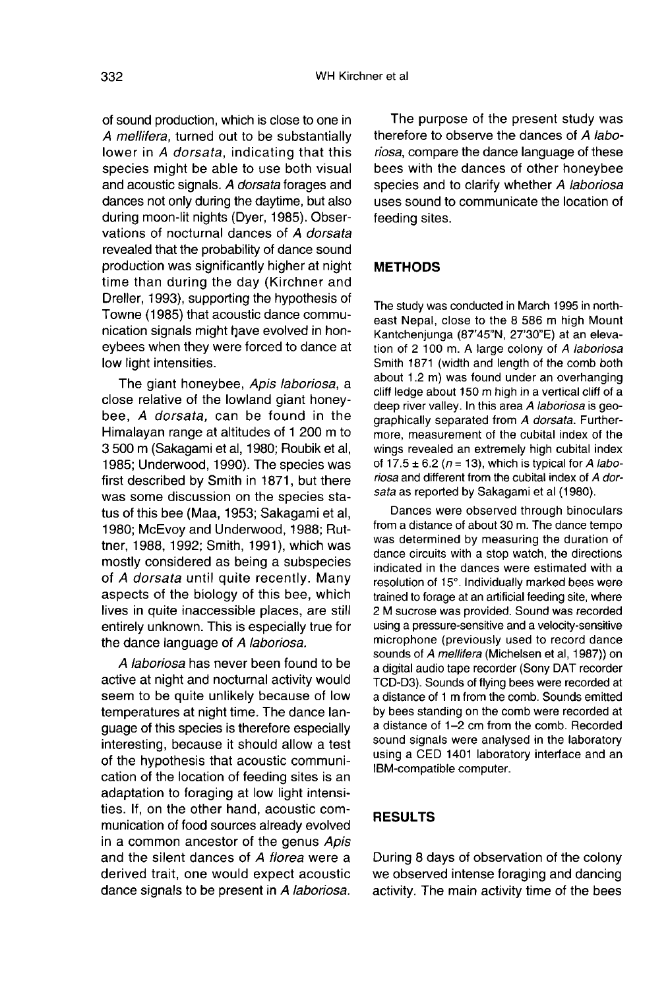of sound production, which is close to one in A mellifera, turned out to be substantially lower in A dorsata, indicating that this species might be able to use both visual and acoustic signals. A *dorsata* forages and dances not only during the daytime, but also during moon-lit nights (Dyer, 1985). Observations of nocturnal dances of A dorsata revealed that the probability of dance sound production was significantly higher at night time than during the day (Kirchner and Dreller, 1993), supporting the hypothesis of Towne (1985) that acoustic dance communication signals might have evolved in honeybees when they were forced to dance at low light intensities.

The giant honeybee, Apis laboriosa, a close relative of the lowland giant honeybee, A dorsata, can be found in the Himalayan range at altitudes of 1 200 m to 3 500 m (Sakagami et al, 1980; Roubik et al, 1985; Underwood, 1990). The species was first described by Smith in 1871, but there was some discussion on the species status of this bee (Maa, 1953; Sakagami et al, 1980; McEvoy and Underwood, 1988; Ruttner, 1988, 1992; Smith, 1991), which was mostly considered as being a subspecies of A dorsata until quite recently. Many aspects of the biology of this bee, which lives in quite inaccessible places, are still entirely unknown. This is especially true for the dance language of A laboriosa.

A laboriosa has never been found to be active at night and nocturnal activity would seem to be quite unlikely because of low temperatures at night time. The dance language of this species is therefore especially interesting, because it should allow a test of the hypothesis that acoustic communication of the location of feeding sites is an adaptation to foraging at low light intensities. If, on the other hand, acoustic communication of food sources already evolved in a common ancestor of the genus Apis and the silent dances of A florea were a derived trait, one would expect acoustic dance signals to be present in A laboriosa.

The purpose of the present study was therefore to observe the dances of A laboriosa, compare the dance language of these bees with the dances of other honeybee species and to clarify whether A laboriosa uses sound to communicate the location of feeding sites.

## **METHODS**

The study was conducted in March 1995 in northeast Nepal, close to the 8 586 m high Mount Kantchenjunga (87'45"N, 27'30"E) at an elevation of 2 100 m. A large colony of A laboriosa Smith 1871 (width and length of the comb both about 1.2 m) was found under an overhanging cliff ledge about 150 m high in a vertical cliff of a deep river valley. In this area A laboriosa is geographically separated from A dorsata. Furthermore, measurement of the cubital index of the wings revealed an extremely high cubital index of 17.5  $\pm$  6.2 (n = 13), which is typical for A laboriosa and different from the cubital index of A dorsata as reported by Sakagami et al (1980).

Dances were observed through binoculars from a distance of about 30 m. The dance tempo was determined by measuring the duration of dance circuits with a stop watch, the directions indicated in the dances were estimated with a resolution of 15°. Individually marked bees were trained to forage at an artificial feeding site, where 2 M sucrose was provided. Sound was recorded using a pressure-sensitive and a velocity-sensitive microphone (previously used to record dance sounds of A mellifera (Michelsen et al, 1987)) on a digital audio tape recorder (Sony DAT recorder TCD-D3). Sounds of flying bees were recorded at a distance of 1 m from the comb. Sounds emitted by bees standing on the comb were recorded at a distance of 1-2 cm from the comb. Recorded sound signals were analysed in the laboratory using a CED 1401 laboratory interface and an IBM-compatible computer.

# **RESULTS**

During 8 days of observation of the colony we observed intense foraging and dancing activity. The main activity time of the bees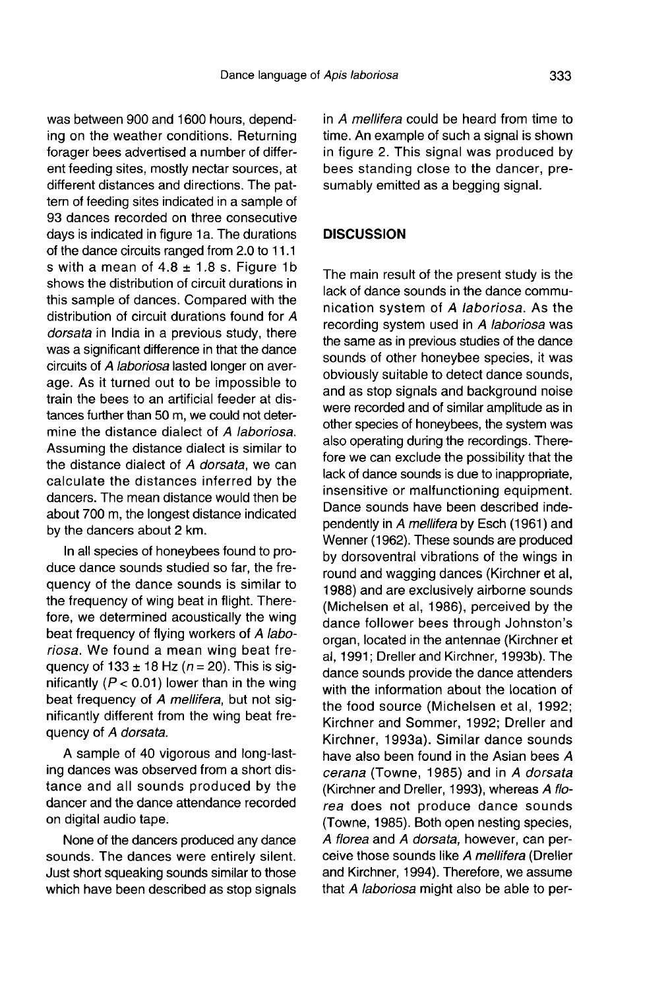was between 900 and 1600 hours, depending on the weather conditions. Returning forager bees advertised a number of different feeding sites, mostly nectar sources, at different distances and directions. The pat tern of feeding sites indicated in a sample of 93 dances recorded on three consecutive days is indicated in figure 1a. The durations of the dance circuits ranged from 2.0 to 11.1 s with a mean of  $4.8 \pm 1.8$  s. Figure 1b shows the distribution of circuit durations in this sample of dances. Compared with the distribution of circuit durations found for A dorsata in India in a previous study, there was a significant difference in that the dance circuits of A laboriosa lasted longer on average. As it turned out to be impossible to train the bees to an artificial feeder at distances further than 50 m, we could not determine the distance dialect of A laboriosa. Assuming the distance dialect is similar to the distance dialect of A dorsata, we can calculate the distances inferred by the dancers. The mean distance would then be about 700 m, the longest distance indicated by the dancers about 2 km.

In all species of honeybees found to produce dance sounds studied so far, the frequency of the dance sounds is similar to the frequency of wing beat in flight. Therefore, we determined acoustically the wing beat frequency of flying workers of A laboriosa. We found a mean wing beat frequency of  $133 \pm 18$  Hz ( $n = 20$ ). This is significantly ( $P < 0.01$ ) lower than in the wing beat frequency of A mellifera, but not significantly different from the wing beat frequency of A dorsata.

A sample of 40 vigorous and long-lasting dances was observed from a short distance and all sounds produced by the dancer and the dance attendance recorded on digital audio tape.

None of the dancers produced any dance sounds. The dances were entirely silent. Just short squeaking sounds similar to those which have been described as stop signals in A mellifera could be heard from time to time. An example of such a signal is shown in figure 2. This signal was produced by bees standing close to the dancer, presumably emitted as a begging signal.

## **DISCUSSION**

The main result of the present study is the lack of dance sounds in the dance communication system of A laboriosa. As the recording system used in A laboriosa was the same as in previous studies of the dance sounds of other honeybee species, it was obviously suitable to detect dance sounds, and as stop signals and background noise were recorded and of similar amplitude as in other species of honeybees, the system was also operating during the recordings. Therefore we can exclude the possibility that the lack of dance sounds is due to inappropriate, insensitive or malfunctioning equipment. Dance sounds have been described independently in A mellifera by Esch (1961) and Wenner (1962). These sounds are produced by dorsoventral vibrations of the wings in round and wagging dances (Kirchner et al, 1988) and are exclusively airborne sounds (Michelsen et al, 1986), perceived by the dance follower bees through Johnston's organ, located in the antennae (Kirchner et al, 1991; Dreller and Kirchner, 1993b). The dance sounds provide the dance attenders with the information about the location of the food source (Michelsen et al, 1992; Kirchner and Sommer, 1992; Dreller and Kirchner, 1993a). Similar dance sounds have also been found in the Asian bees A cerana (Towne, 1985) and in A dorsata (Kirchner and Dreller, 1993), whereas A florea does not produce dance sounds (Towne, 1985). Both open nesting species, A florea and A dorsata, however, can perceive those sounds like A mellifera (Dreller and Kirchner, 1994). Therefore, we assume that A laboriosa might also be able to per-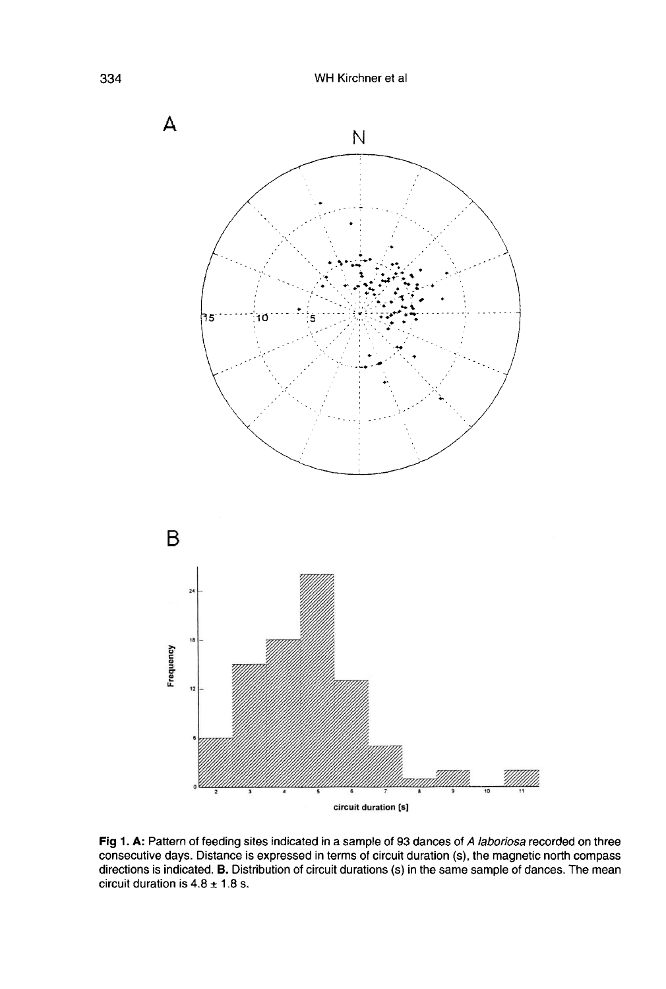

Fig 1. A: Pattern of feeding sites indicated in a sample of 93 dances of A laboriosa recorded on three consecutive days. Distance is expressed in terms of circuit duration (s), the magnetic north compass directions is indicated. B. Distribution of circuit durations (s) in the same sample of dances. The mean circuit duration is  $4.8 \pm 1.8$  s.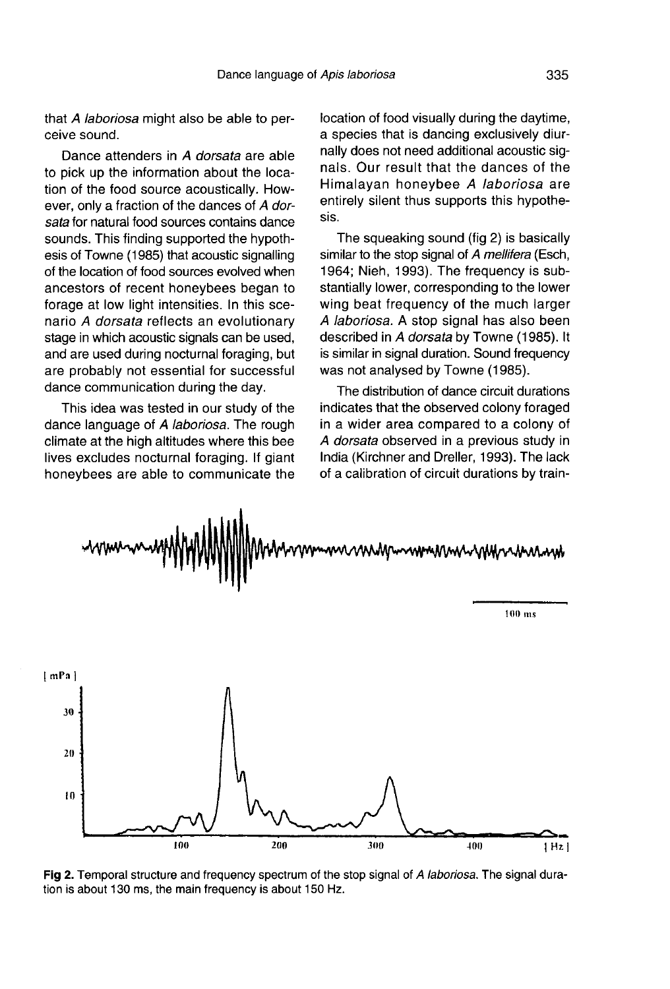that A laboriosa might also be able to perceive sound.

Dance attenders in A dorsata are able to pick up the information about the location of the food source acoustically. However, only a fraction of the dances of A dorsata for natural food sources contains dance sounds. This finding supported the hypothesis of Towne (1985) that acoustic signalling of the location of food sources evolved when ancestors of recent honeybees began to forage at low light intensities. In this scenario A dorsata reflects an evolutionary stage in which acoustic signals can be used, and are used during nocturnal foraging, but are probably not essential for successful dance communication during the day.

This idea was tested in our study of the dance language of A laboriosa. The rough climate at the high altitudes where this bee lives excludes nocturnal foraging. If giant honeybees are able to communicate the location of food visually during the daytime, a species that is dancing exclusively diurnally does not need additional acoustic signals. Our result that the dances of the Himalayan honeybee A laboriosa are entirely silent thus supports this hypothesis.

The squeaking sound (fig 2) is basically similar to the stop signal of A mellifera (Esch, 1964; Nieh, 1993). The frequency is substantially lower, corresponding to the lower wing beat frequency of the much larger A laboriosa. A stop signal has also been described in A dorsata by Towne (1985). It is similar in signal duration. Sound frequency was not analysed by Towne (1985).

The distribution of dance circuit durations indicates that the observed colony foraged in a wider area compared to a colony of A dorsata observed in a previous study in India (Kirchner and Dreller, 1993). The lack of a calibration of circuit durations by train-



Fig 2. Temporal structure and frequency spectrum of the stop signal of A laboriosa. The signal duration is about 130 ms, the main frequency is about 150 Hz.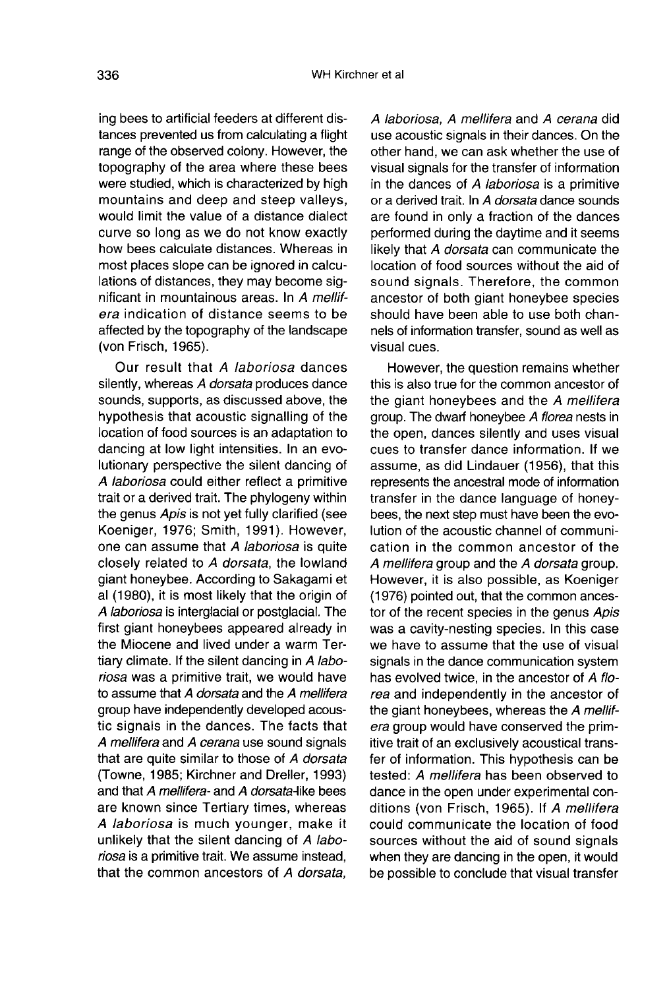ing bees to artificial feeders at different distances prevented us from calculating a flight range of the observed colony. However, the topography of the area where these bees were studied, which is characterized by high mountains and deep and steep valleys, would limit the value of a distance dialect curve so long as we do not know exactly how bees calculate distances. Whereas in most places slope can be ignored in calculations of distances, they may become significant in mountainous areas. In A mellifera indication of distance seems to be affected by the topography of the landscape (von Frisch, 1965).

Our result that A laboriosa dances silently, whereas A dorsata produces dance sounds, supports, as discussed above, the hypothesis that acoustic signalling of the location of food sources is an adaptation to dancing at low light intensities. In an evolutionary perspective the silent dancing of A laboriosa could either reflect a primitive trait or a derived trait. The phylogeny within the genus Apis is not yet fully clarified (see Koeniger, 1976; Smith, 1991). However, one can assume that A laboriosa is quite closely related to A dorsata, the lowland giant honeybee. According to Sakagami et al (1980), it is most likely that the origin of A laboriosa is interglacial or postglacial. The first giant honeybees appeared already in the Miocene and lived under a warm Tertiary climate. If the silent dancing in A laboriosa was a primitive trait, we would have to assume that A dorsata and the A mellifera group have independently developed acoustic signals in the dances. The facts that A mellifera and A cerana use sound signals that are quite similar to those of A dorsata (Towne, 1985; Kirchner and Dreller, 1993) and that A mellifera- and A dorsata-like bees are known since Tertiary times, whereas A laboriosa is much younger, make it unlikely that the silent dancing of A laboriosa is a primitive trait. We assume instead, that the common ancestors of A dorsata,

A laboriosa, A mellifera and A cerana did use acoustic signals in their dances. On the other hand, we can ask whether the use of visual signals for the transfer of information in the dances of A laboriosa is a primitive or a derived trait. In A dorsata dance sounds are found in only a fraction of the dances performed during the daytime and it seems likely that A dorsata can communicate the location of food sources without the aid of sound signals. Therefore, the common ancestor of both giant honeybee species should have been able to use both channels of information transfer, sound as well as visual cues.

However, the question remains whether this is also true for the common ancestor of the giant honeybees and the A mellifera group. The dwarf honeybee A florea nests in the open, dances silently and uses visual cues to transfer dance information. If we assume, as did Lindauer (1956), that this represents the ancestral mode of information transfer in the dance language of honeybees, the next step must have been the evolution of the acoustic channel of communication in the common ancestor of the A mellifera group and the A dorsata group. However, it is also possible, as Koeniger (1976) pointed out, that the common ancestor of the recent species in the genus Apis was a cavity-nesting species. In this case we have to assume that the use of visual signals in the dance communication system has evolved twice, in the ancestor of A florea and independently in the ancestor of the giant honeybees, whereas the A mellifera group would have conserved the primitive trait of an exclusively acoustical transfer of information. This hypothesis can be tested: A mellifera has been observed to dance in the open under experimental conditions (von Frisch, 1965). If A mellifera could communicate the location of food sources without the aid of sound signals when they are dancing in the open, it would be possible to conclude that visual transfer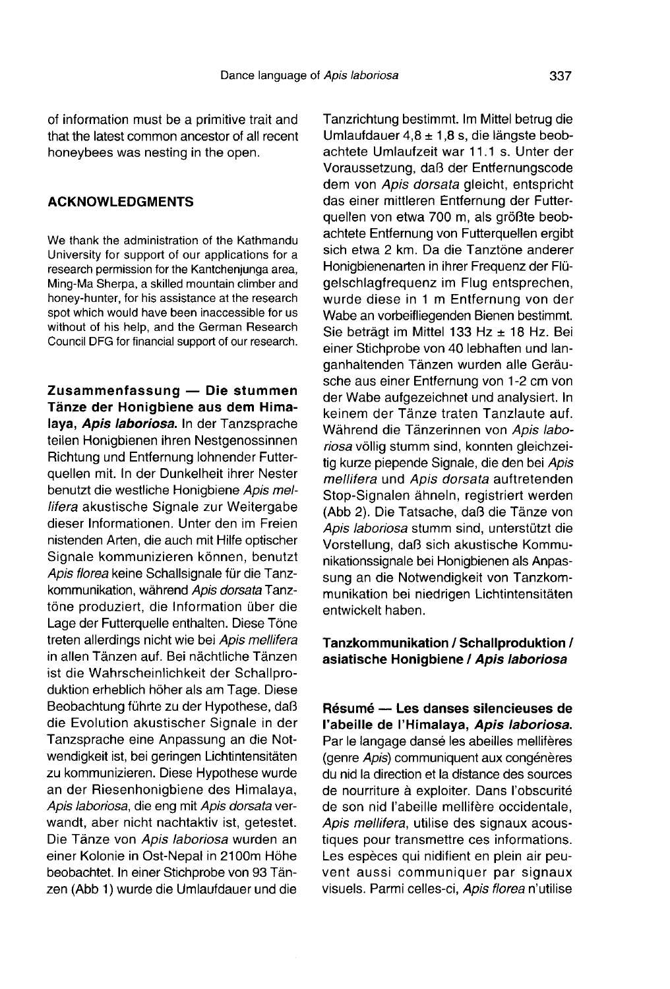of information must be a primitive trait and that the latest common ancestor of all recent honeybees was nesting in the open.

## ACKNOWLEDGMENTS

We thank the administration of the Kathmandu University for support of our applications for a research permission for the Kantchenjunga area, Ming-Ma Sherpa, a skilled mountain climber and honey-hunter, for his assistance at the research spot which would have been inaccessible for us without of his help, and the German Research Council DFG for financial support of our research.

Zusammenfassung — Die stummen Tänze der Honigbiene aus dem Himalaya, Apis laboriosa. In der Tanzsprache teilen Honigbienen ihren Nestgenossinnen Richtung und Entfernung lohnender Futterquellen mit. In der Dunkelheit ihrer Nester benutzt die westliche Honigbiene Apis mellifera akustische Signale zur Weitergabe dieser Informationen. Unter den im Freien nistenden Arten, die auch mit Hilfe optischer Signale kommunizieren können, benutzt Apis florea keine Schallsignale für die Tanzkommunikation, während Apis dorsata Tanztöne produziert, die Information über die Lage der Futterquelle enthalten. Diese Töne treten allerdings nicht wie bei Apis mellifera in allen Tänzen auf. Bei nächtliche Tänzen ist die Wahrscheinlichkeit der Schallproduktion erheblich höher als am Tage. Diese Beobachtung führte zu der Hypothese, daß die Evolution akustischer Signale in der Tanzsprache eine Anpassung an die Notwendigkeit ist, bei geringen Lichtintensitäten zu kommunizieren. Diese Hypothese wurde an der Riesenhonigbiene des Himalaya, Apis laboriosa, die eng mit Apis dorsata verwandt, aber nicht nachtaktiv ist, getestet. Die Tänze von Apis laboriosa wurden an einer Kolonie in Ost-Nepal in 2100m Höhe beobachtet. In einer Stichprobe von 93 Tänzen (Abb 1) wurde die Umlaufdauer und die

Tanzrichtung bestimmt. Im Mittel betrug die Umlaufdauer 4,8 ± 1,8 s, die längste beobachtete Umlaufzeit war 11.1 s. Unter der Voraussetzung, daß der Entfernungscode dem von Apis dorsata gleicht, entspricht das einer mittleren Entfernung der Futterquellen von etwa 700 m, als größte beobachtete Entfernung von Futterquellen ergibt sich etwa 2 km. Da die Tanztöne anderer Honigbienenarten in ihrer Frequenz der Flügelschlagfrequenz im Flug entsprechen, wurde diese in 1 m Entfernung von der Wabe an vorbeifliegenden Bienen bestimmt. Sie beträgt im Mittel 133 Hz ± 18 Hz. Bei einer Stichprobe von 40 lebhaften und langanhaltenden Tänzen wurden alle Geräusche aus einer Entfernung von 1-2 cm von der Wabe aufgezeichnet und analysiert. In keinem der Tänze traten Tanzlaute auf. Während die Tänzerinnen von Apis laboriosa völlig stumm sind, konnten gleichzeitig kurze piepende Signale, die den bei Apis mellifera und Apis dorsata auftretenden Stop-Signalen ähneln, registriert werden (Abb 2). Die Tatsache, daß die Tänze von Apis laboriosa stumm sind, unterstützt die Vorstellung, daß sich akustische Kommunikationssignale bei Honigbienen als Anpassung an die Notwendigkeit von Tanzkommunikation bei niedrigen Lichtintensitäten entwickelt haben.

## Tanzkommunikation / Schallproduktion / asiatische Honigbiene / Apis laboriosa

Résumé — Les danses silencieuses de l'abeille de l'Himalaya, Apis laboriosa. Par le langage dansé les abeilles mellifères (genre Apis) communiquent aux congénères du nid la direction et la distance des sources de nourriture à exploiter. Dans l'obscurité de son nid l'abeille mellifère occidentale, Apis mellifera, utilise des signaux acoustiques pour transmettre ces informations. Les espèces qui nidifient en plein air peuvent aussi communiquer par signaux visuels. Parmi celles-ci, Apis florea n'utilise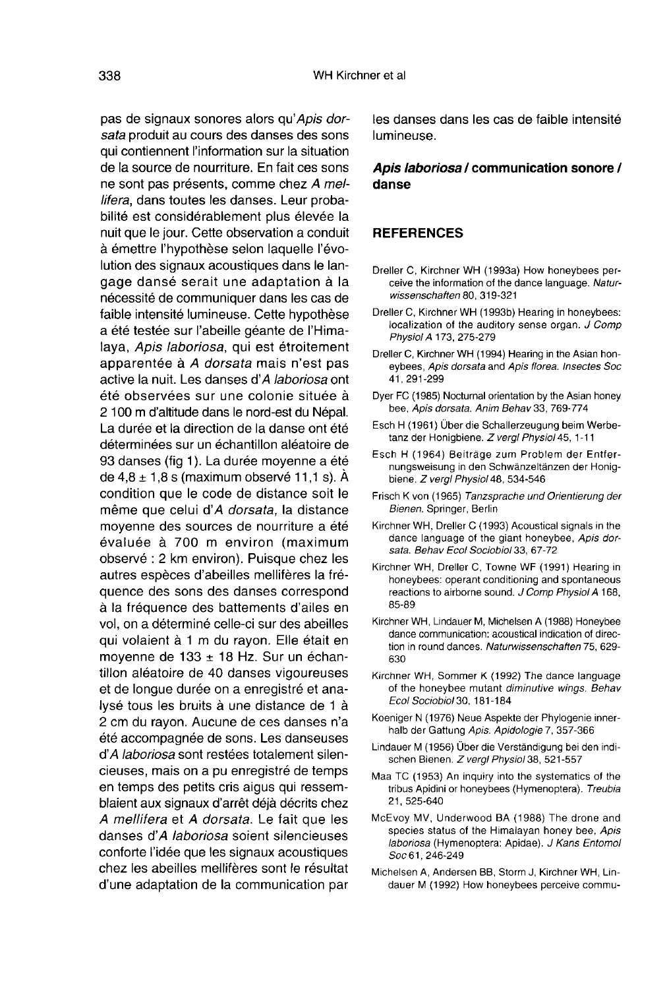pas de signaux sonores alors qu'Apis dorsata produit au cours des danses des sons qui contiennent l'information sur la situation de la source de nourriture. En fait ces sons ne sont pas présents, comme chez A mellifera, dans toutes les danses. Leur probabilité est considérablement plus élevée la nuit que le jour. Cette observation a conduit à émettre l'hypothèse selon laquelle l'évolution des signaux acoustiques dans le langage dansé serait une adaptation à la nécessité de communiquer dans les cas de faible intensité lumineuse. Cette hypothèse a été testée sur l'abeille géante de l'Himalava, Apis laboriosa, qui est étroitement apparentée à A dorsata mais n'est pas active la nuit. Les danses d'A laboriosa ont été observées sur une colonie située à 2 100 m d'altitude dans le nord-est du Népal. La durée et la direction de la danse ont été déterminées sur un échantillon aléatoire de 93 danses (fig 1). La durée moyenne a été de 4,8 ± 1,8 s (maximum observé 11,1 s). À condition que le code de distance soit le même que celui d'A dorsata, la distance moyenne des sources de nourriture a été évaluée à 700 m environ (maximum observé : 2 km environ). Puisque chez les autres espèces d'abeilles mellifères la fréquence des sons des danses correspond à la fréquence des battements d'ailes en vol, on a déterminé celle-ci sur des abeilles qui volaient à 1 m du rayon. Elle était en moyenne de 133 ± 18 Hz. Sur un échantillon aléatoire de 40 danses vigoureuses et de longue durée on a enregistré et analysé tous les bruits à une distance de 1 à 2 cm du rayon. Aucune de ces danses n'a été accompagnée de sons. Les danseuses d'A laboriosa sont restées totalement silencieuses, mais on a pu enregistré de temps en temps des petits cris aigus qui ressemblaient aux signaux d'arrêt déjà décrits chez A mellifera et A dorsata. Le fait que les danses d'A laboriosa soient silencieuses conforte l'idée que les signaux acoustiques chez les abeilles mellifères sont le résultat d'une adaptation de la communication par

les danses dans les cas de faible intensité lumineuse.

## Apis laboriosa / communication sonore / danse

## **REFERENCES**

- Dreller C, Kirchner WH (1993a) How honeybees perceive the information of the dance language. Naturwissenschaften 80, 319-321
- Dreller C, Kirchner WH (1993b) Hearing in honeybees: localization of the auditory sense organ. J Comp Physiol A 173, 275-279
- Dreller C, Kirchner WH (1994) Hearing in the Asian honeybees, Apis dorsata and Apis florea. Insectes Soc 41, 291-299
- Dyer FC (1985) Nocturnal orientation by the Asian honey bee, Apis dorsata. Anim Behav 33, 769-774
- Esch H (1961) Über die Schallerzeugung beim Werbetanz der Honigbiene. Z vergl Physiol 45, 1-11
- Esch H (1964) Beiträge zum Problem der Entfernungsweisung in den Schwänzeltänzen der Honig-<br>biene. Z vergl Physiol 48, 534-546
- Frisch K von (1965) Tanzsprache und Orientierung der Bienen. Springer, Berlin
- Kirchner WH, Dreller C (1993) Acoustical signals in the dance language of the giant honeybee, Apis dorsata. Behav Ecol Sociobiol 33, 67-72
- Kirchner WH, Dreller C, Towne WF (1991) Hearing in honeybees: operant conditioning and spontaneous reactions to airborne sound. J Comp Physiol A 168, 85-89
- Kirchner WH, Lindauer M, Michelsen A (1988) Honeybee dance communication: acoustical indication of direction in round dances. Naturwissenschaften 75, 629- 630
- Kirchner WH, Sommer K (1992) The dance language of the honeybee mutant diminutive wings. Behav Ecol Sociobiol 30, 181-184
- Koeniger N (1976) Neue Aspekte der Phylogenie innerhalb der Gattung Apis. Apidologie 7, 357-366
- Lindauer M (1956) Über die Verständigung bei den indischen Bienen. Z vergl Physiol 38, 521-557
- Maa TC (1953) An inquiry into the systematics of the tribus Apidini or honeybees (Hymenoptera). Treubia 21, 525-640
- McEvoy MV, Underwood BA (1988) The drone and species status of the Himalayan honey bee, Apis laboriosa (Hymenoptera: Apidae). J Kans Entomol Soc 61, 246-249
- Michelsen A, Andersen BB, Storm J. Kirchner WH, Lindauer M (1992) How honeybees perceive commu-